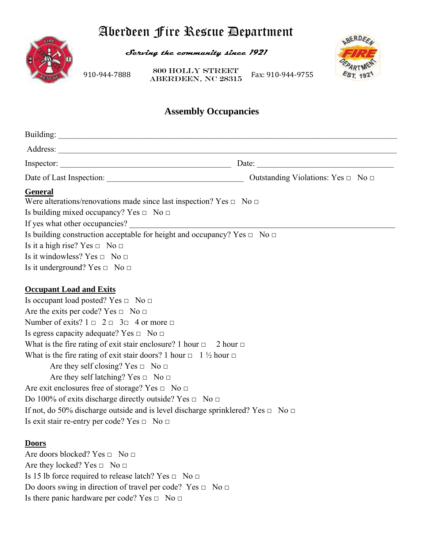# Aberdeen Fire Rescue Department



**Serving the community since 1921** 

910‐944‐7888 

ABERDEEN, NC 28315 Fax: 910‐944‐9755 800 Holly Street



# **Assembly Occupancies**

| Inspector: $\qquad \qquad$                                                                                                                                                                                                                                                                                                                                                                                                                                                                                                                                                                                                                                                                                                                                                                                                    | Date: $\qquad \qquad$ |
|-------------------------------------------------------------------------------------------------------------------------------------------------------------------------------------------------------------------------------------------------------------------------------------------------------------------------------------------------------------------------------------------------------------------------------------------------------------------------------------------------------------------------------------------------------------------------------------------------------------------------------------------------------------------------------------------------------------------------------------------------------------------------------------------------------------------------------|-----------------------|
|                                                                                                                                                                                                                                                                                                                                                                                                                                                                                                                                                                                                                                                                                                                                                                                                                               |                       |
| <b>General</b><br>Were alterations/renovations made since last inspection? Yes $\Box$ No $\Box$<br>Is building mixed occupancy? Yes $\Box$ No $\Box$<br>If yes what other occupancies?<br>Is building construction acceptable for height and occupancy? Yes $\Box$ No $\Box$<br>Is it a high rise? Yes $\Box$ No $\Box$<br>Is it windowless? Yes $\Box$ No $\Box$                                                                                                                                                                                                                                                                                                                                                                                                                                                             |                       |
| Is it underground? Yes $\Box$ No $\Box$                                                                                                                                                                                                                                                                                                                                                                                                                                                                                                                                                                                                                                                                                                                                                                                       |                       |
| <b>Occupant Load and Exits</b><br>Is occupant load posted? Yes $\Box$ No $\Box$<br>Are the exits per code? Yes $\Box$ No $\Box$<br>Number of exits? $1 \square 2 \square 3 \square 4$ or more $\square$<br>Is egress capacity adequate? Yes $\Box$ No $\Box$<br>What is the fire rating of exit stair enclosure? 1 hour $\Box$ 2 hour $\Box$<br>What is the fire rating of exit stair doors? 1 hour $\Box$ 1 $\frac{1}{2}$ hour $\Box$<br>Are they self closing? Yes $\Box$ No $\Box$<br>Are they self latching? Yes $\Box$ No $\Box$<br>Are exit enclosures free of storage? Yes $\Box$ No $\Box$<br>Do 100% of exits discharge directly outside? Yes $\Box$ No $\Box$<br>If not, do 50% discharge outside and is level discharge sprinklered? Yes $\Box$ No $\Box$<br>Is exit stair re-entry per code? Yes $\Box$ No $\Box$ |                       |
| <b>Doors</b><br>Are doors blocked? Yes $\Box$ No $\Box$<br>Are they locked? Yes $\Box$ No $\Box$<br>Is 15 lb force required to release latch? Yes $\Box$ No $\Box$<br>Do doors swing in direction of travel per code? Yes $\Box$ No $\Box$<br>Is there panic hardware per code? Yes $\Box$ No $\Box$                                                                                                                                                                                                                                                                                                                                                                                                                                                                                                                          |                       |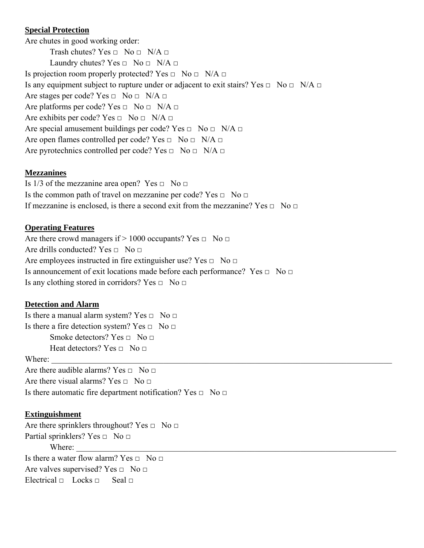#### **Special Protection**

Are chutes in good working order: Trash chutes? Yes  $\Box$  No  $\Box$  N/A  $\Box$ Laundry chutes? Yes  $\Box$  No  $\Box$  N/A  $\Box$ Is projection room properly protected? Yes  $\Box$  No  $\Box$  N/A  $\Box$ Is any equipment subject to rupture under or adjacent to exit stairs? Yes  $\Box$  No  $\Box$  N/A  $\Box$ Are stages per code? Yes  $\Box$  No  $\Box$  N/A  $\Box$ Are platforms per code? Yes  $\Box$  No  $\Box$  N/A  $\Box$ Are exhibits per code? Yes  $\Box$  No  $\Box$  N/A  $\Box$ Are special amusement buildings per code? Yes  $\Box$  No  $\Box$  N/A  $\Box$ Are open flames controlled per code? Yes  $\Box$  No  $\Box$  N/A  $\Box$ Are pyrotechnics controlled per code? Yes  $\Box$  No  $\Box$  N/A  $\Box$ 

#### **Mezzanines**

Is  $1/3$  of the mezzanine area open? Yes  $\Box$  No  $\Box$ Is the common path of travel on mezzanine per code? Yes  $\Box$  No  $\Box$ If mezzanine is enclosed, is there a second exit from the mezzanine? Yes  $\Box$  No  $\Box$ 

#### **Operating Features**

Are there crowd managers if  $> 1000$  occupants? Yes  $\Box$  No  $\Box$ Are drills conducted? Yes  $\Box$  No  $\Box$ Are employees instructed in fire extinguisher use? Yes  $\Box$  No  $\Box$ Is announcement of exit locations made before each performance? Yes  $\Box$  No  $\Box$ Is any clothing stored in corridors? Yes  $\Box$  No  $\Box$ 

# **Detection and Alarm**

Is there a manual alarm system? Yes  $\Box$  No  $\Box$ Is there a fire detection system? Yes  $\Box$  No  $\Box$ Smoke detectors? Yes  $\Box$  No  $\Box$ Heat detectors? Yes  $\Box$  No  $\Box$ Where: Are there audible alarms? Yes  $\Box$  No  $\Box$ Are there visual alarms? Yes  $\Box$  No  $\Box$ Is there automatic fire department notification? Yes  $\Box$  No  $\Box$ 

#### **Extinguishment**

Are there sprinklers throughout? Yes  $\Box$  No  $\Box$ Partial sprinklers? Yes  $\Box$  No  $\Box$ Where: Is there a water flow alarm? Yes  $\Box$  No  $\Box$ Are valves supervised? Yes  $\Box$  No  $\Box$ Electrical  $\Box$  Locks  $\Box$  Seal  $\Box$